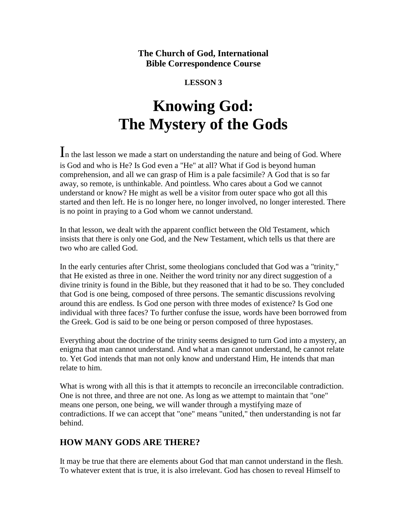**The Church of God, International Bible Correspondence Course**

## **LESSON 3**

# **Knowing God: The Mystery of the Gods**

In the last lesson we made a start on understanding the nature and being of God. Where is God and who is He? Is God even a "He" at all? What if God is beyond human comprehension, and all we can grasp of Him is a pale facsimile? A God that is so far away, so remote, is unthinkable. And pointless. Who cares about a God we cannot understand or know? He might as well be a visitor from outer space who got all this started and then left. He is no longer here, no longer involved, no longer interested. There is no point in praying to a God whom we cannot understand.

In that lesson, we dealt with the apparent conflict between the Old Testament, which insists that there is only one God, and the New Testament, which tells us that there are two who are called God.

In the early centuries after Christ, some theologians concluded that God was a "trinity," that He existed as three in one. Neither the word trinity nor any direct suggestion of a divine trinity is found in the Bible, but they reasoned that it had to be so. They concluded that God is one being, composed of three persons. The semantic discussions revolving around this are endless. Is God one person with three modes of existence? Is God one individual with three faces? To further confuse the issue, words have been borrowed from the Greek. God is said to be one being or person composed of three hypostases.

Everything about the doctrine of the trinity seems designed to turn God into a mystery, an enigma that man cannot understand. And what a man cannot understand, he cannot relate to. Yet God intends that man not only know and understand Him, He intends that man relate to him.

What is wrong with all this is that it attempts to reconcile an irreconcilable contradiction. One is not three, and three are not one. As long as we attempt to maintain that "one" means one person, one being, we will wander through a mystifying maze of contradictions. If we can accept that "one" means "united," then understanding is not far behind.

## **HOW MANY GODS ARE THERE?**

It may be true that there are elements about God that man cannot understand in the flesh. To whatever extent that is true, it is also irrelevant. God has chosen to reveal Himself to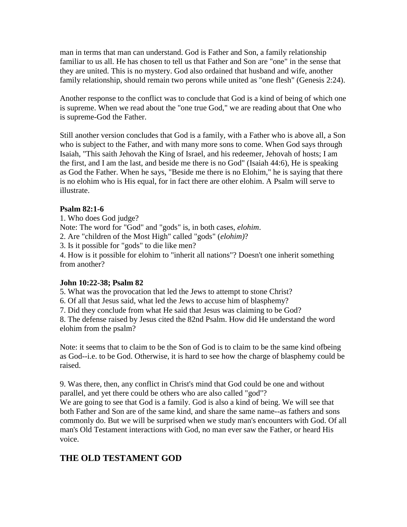man in terms that man can understand. God is Father and Son, a family relationship familiar to us all. He has chosen to tell us that Father and Son are "one" in the sense that they are united. This is no mystery. God also ordained that husband and wife, another family relationship, should remain two perons while united as "one flesh" (Genesis 2:24).

Another response to the conflict was to conclude that God is a kind of being of which one is supreme. When we read about the "one true God," we are reading about that One who is supreme-God the Father.

Still another version concludes that God is a family, with a Father who is above all, a Son who is subject to the Father, and with many more sons to come. When God says through Isaiah, "This saith Jehovah the King of Israel, and his redeemer, Jehovah of hosts; I am the first, and I am the last, and beside me there is no God" (Isaiah 44:6), He is speaking as God the Father. When he says, "Beside me there is no Elohim," he is saying that there is no elohim who is His equal, for in fact there are other elohim. A Psalm will serve to illustrate.

## **Psalm 82:1-6**

1. Who does God judge? Note: The word for "God" and "gods" is, in both cases, *elohim*. 2. Are "children of the Most High" called "gods" (*elohim)*? 3. Is it possible for "gods" to die like men? 4. How is it possible for elohim to "inherit all nations"? Doesn't one inherit something from another?

#### **John 10:22-38; Psalm 82**

5. What was the provocation that led the Jews to attempt to stone Christ?

6. Of all that Jesus said, what led the Jews to accuse him of blasphemy?

7. Did they conclude from what He said that Jesus was claiming to be God?

8. The defense raised by Jesus cited the 82nd Psalm. How did He understand the word elohim from the psalm?

Note: it seems that to claim to be the Son of God is to claim to be the same kind ofbeing as God--i.e. to be God. Otherwise, it is hard to see how the charge of blasphemy could be raised.

9. Was there, then, any conflict in Christ's mind that God could be one and without parallel, and yet there could be others who are also called "god"?

We are going to see that God is a family. God is also a kind of being. We will see that both Father and Son are of the same kind, and share the same name--as fathers and sons commonly do. But we will be surprised when we study man's encounters with God. Of all man's Old Testament interactions with God, no man ever saw the Father, or heard His voice.

# **THE OLD TESTAMENT GOD**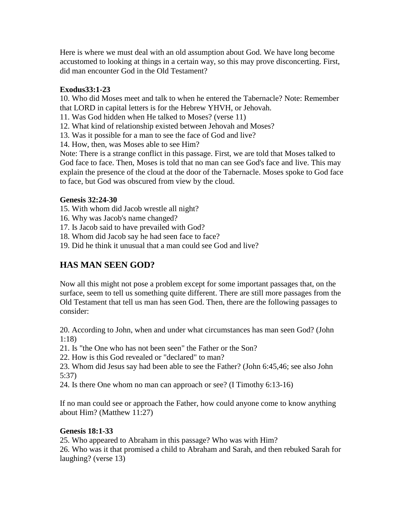Here is where we must deal with an old assumption about God. We have long become accustomed to looking at things in a certain way, so this may prove disconcerting. First, did man encounter God in the Old Testament?

## **Exodus33:1-23**

10. Who did Moses meet and talk to when he entered the Tabernacle? Note: Remember that LORD in capital letters is for the Hebrew YHVH, or Jehovah.

11. Was God hidden when He talked to Moses? (verse 11)

12. What kind of relationship existed between Jehovah and Moses?

13. Was it possible for a man to see the face of God and live?

14. How, then, was Moses able to see Him?

Note: There is a strange conflict in this passage. First, we are told that Moses talked to God face to face. Then, Moses is told that no man can see God's face and live. This may explain the presence of the cloud at the door of the Tabernacle. Moses spoke to God face to face, but God was obscured from view by the cloud.

## **Genesis 32:24-30**

15. With whom did Jacob wrestle all night?

16. Why was Jacob's name changed?

17. Is Jacob said to have prevailed with God?

18. Whom did Jacob say he had seen face to face?

19. Did he think it unusual that a man could see God and live?

# **HAS MAN SEEN GOD?**

Now all this might not pose a problem except for some important passages that, on the surface, seem to tell us something quite different. There are still more passages from the Old Testament that tell us man has seen God. Then, there are the following passages to consider:

20. According to John, when and under what circumstances has man seen God? (John 1:18)

21. Is "the One who has not been seen" the Father or the Son?

22. How is this God revealed or "declared" to man?

23. Whom did Jesus say had been able to see the Father? (John 6:45,46; see also John 5:37)

24. Is there One whom no man can approach or see? (I Timothy 6:13-16)

If no man could see or approach the Father, how could anyone come to know anything about Him? (Matthew 11:27)

## **Genesis 18:1-33**

25. Who appeared to Abraham in this passage? Who was with Him?

26. Who was it that promised a child to Abraham and Sarah, and then rebuked Sarah for laughing? (verse 13)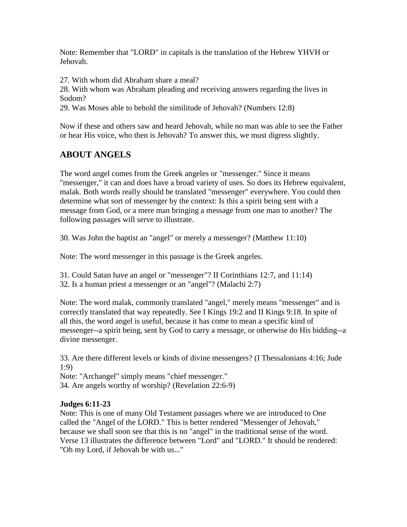Note: Remember that "LORD" in capitals is the translation of the Hebrew YHVH or Jehovah.

27. With whom did Abraham share a meal?

28. With whom was Abraham pleading and receiving answers regarding the lives in Sodom?

29. Was Moses able to behold the similitude of Jehovah? (Numbers 12:8)

Now if these and others saw and heard Jehovah, while no man was able to see the Father or hear His voice, who then is Jehovah? To answer this, we must digress slightly.

## **ABOUT ANGELS**

The word angel comes from the Greek angeles or "messenger." Since it means "messenger," it can and does have a broad variety of uses. So does its Hebrew equivalent, malak. Both words really should be translated "messenger" everywhere. You could then determine what sort of messenger by the context: Is this a spirit being sent with a message from God, or a mere man bringing a message from one man to another? The following passages will serve to illustrate.

30. Was John the baptist an "angel" or merely a messenger? (Matthew 11:10)

Note: The word messenger in this passage is the Greek angeles.

31. Could Satan have an angel or "messenger"? II Corinthians 12:7, and 11:14)

32. Is a human priest a messenger or an "angel"? (Malachi 2:7)

Note: The word malak, commonly translated "angel," merely means "messenger" and is correctly translated that way repeatedly. See I Kings 19:2 and II Kings 9:18. In spite of all this, the word angel is useful, because it has come to mean a specific kind of messenger--a spirit being, sent by God to carry a message, or otherwise do His bidding--a divine messenger.

33. Are there different levels or kinds of divine messengers? (I Thessalonians 4:16; Jude 1:9)

Note: "Archangel" simply means "chief messenger." 34. Are angels worthy of worship? (Revelation 22:6-9)

## **Judges 6:11-23**

Note: This is one of many Old Testament passages where we are introduced to One called the "Angel of the LORD." This is better rendered "Messenger of Jehovah," because we shall soon see that this is no "angel" in the traditional sense of the word. Verse 13 illustrates the difference between "Lord" and "LORD." It should be rendered: "Oh my Lord, if Jehovah be with us..."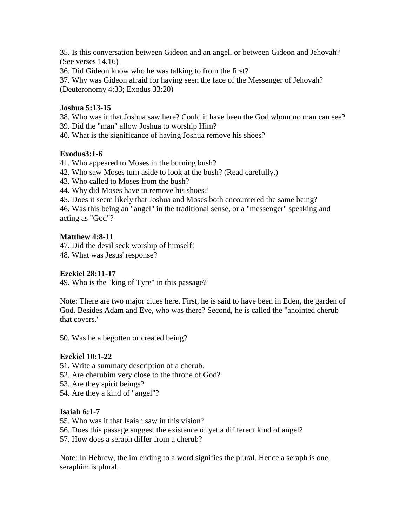35. Is this conversation between Gideon and an angel, or between Gideon and Jehovah? (See verses 14,16)

36. Did Gideon know who he was talking to from the first?

37. Why was Gideon afraid for having seen the face of the Messenger of Jehovah? (Deuteronomy 4:33; Exodus 33:20)

## **Joshua 5:13-15**

38. Who was it that Joshua saw here? Could it have been the God whom no man can see?

- 39. Did the "man" allow Joshua to worship Him?
- 40. What is the significance of having Joshua remove his shoes?

## **Exodus3:1-6**

- 41. Who appeared to Moses in the burning bush?
- 42. Who saw Moses turn aside to look at the bush? (Read carefully.)
- 43. Who called to Moses from the bush?
- 44. Why did Moses have to remove his shoes?
- 45. Does it seem likely that Joshua and Moses both encountered the same being?

46. Was this being an "angel" in the traditional sense, or a "messenger" speaking and acting as "God"?

## **Matthew 4:8-11**

47. Did the devil seek worship of himself!

48. What was Jesus' response?

## **Ezekiel 28:11-17**

49. Who is the "king of Tyre" in this passage?

Note: There are two major clues here. First, he is said to have been in Eden, the garden of God. Besides Adam and Eve, who was there? Second, he is called the "anointed cherub that covers."

50. Was he a begotten or created being?

#### **Ezekiel 10:1-22**

- 51. Write a summary description of a cherub.
- 52. Are cherubim very close to the throne of God?
- 53. Are they spirit beings?
- 54. Are they a kind of "angel"?

## **Isaiah 6:1-7**

- 55. Who was it that Isaiah saw in this vision?
- 56. Does this passage suggest the existence of yet a dif ferent kind of angel?
- 57. How does a seraph differ from a cherub?

Note: In Hebrew, the im ending to a word signifies the plural. Hence a seraph is one, seraphim is plural.